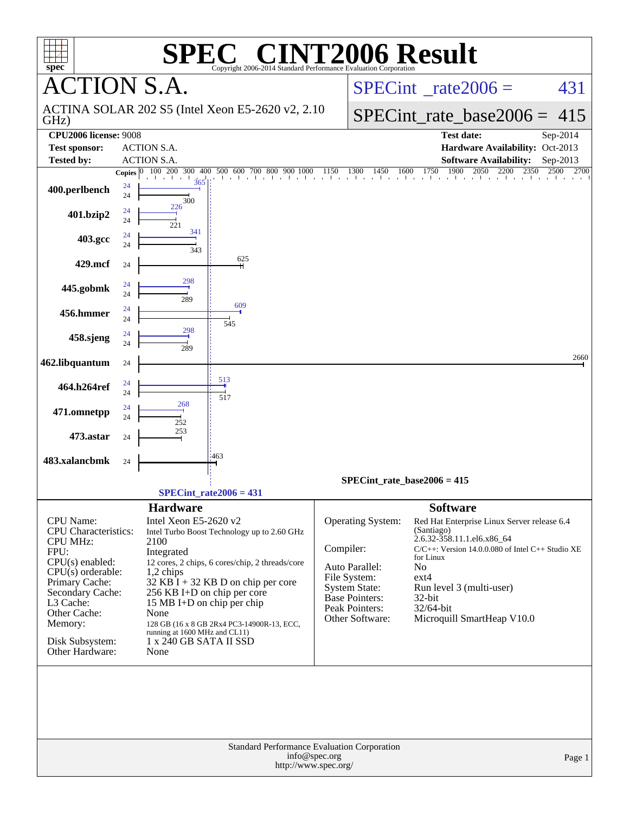| $spec^*$                                                    |                                | SPE®                                             | $\blacksquare$<br>Copyright 2006-2014 Standard Performance Evaluation Corporation | <b>INT2006 Result</b>                                        |                                                                                                                                                                                    |              |
|-------------------------------------------------------------|--------------------------------|--------------------------------------------------|-----------------------------------------------------------------------------------|--------------------------------------------------------------|------------------------------------------------------------------------------------------------------------------------------------------------------------------------------------|--------------|
| <b>CTION S.A.</b>                                           |                                |                                                  |                                                                                   |                                                              | $SPECint^{\circ}$ rate $2006 =$                                                                                                                                                    | 431          |
| GHz)                                                        |                                |                                                  | ACTINA SOLAR 202 S5 (Intel Xeon E5-2620 v2, 2.10)                                 |                                                              | $SPECint_rate_base2006 =$                                                                                                                                                          | 415          |
| <b>CPU2006 license: 9008</b><br><b>Test sponsor:</b>        |                                | <b>ACTION S.A.</b>                               |                                                                                   |                                                              | <b>Test date:</b><br>Hardware Availability: Oct-2013                                                                                                                               | Sep-2014     |
| <b>Tested by:</b>                                           |                                | <b>ACTION S.A.</b>                               |                                                                                   |                                                              | <b>Software Availability:</b>                                                                                                                                                      | Sep-2013     |
| 400.perlbench                                               | Copies $ 0\rangle$<br>24<br>24 | 300<br>226                                       |                                                                                   |                                                              | $100\quad 200\quad 300\quad 400\quad 500\quad 600\quad 700\quad 800\quad 900\quad 1000\qquad 1150\quad 1300\quad 1450\quad 1600\quad 1750\quad 1900\quad 2050\quad 2200\quad 2350$ | 2700<br>2500 |
| 401.bzip2                                                   | 24<br>24                       | 221                                              |                                                                                   |                                                              |                                                                                                                                                                                    |              |
| 403.gcc                                                     | 24<br>24                       | 341<br>343                                       |                                                                                   |                                                              |                                                                                                                                                                                    |              |
| 429.mcf                                                     | 24                             |                                                  | 625                                                                               |                                                              |                                                                                                                                                                                    |              |
| 445.gobmk                                                   | 24<br>24                       | 298<br>289                                       |                                                                                   |                                                              |                                                                                                                                                                                    |              |
| 456.hmmer                                                   | 24<br>24                       |                                                  | 609<br>545                                                                        |                                                              |                                                                                                                                                                                    |              |
| 458.sjeng                                                   | 24<br>24                       | 298<br>289                                       |                                                                                   |                                                              |                                                                                                                                                                                    |              |
| 462.libquantum                                              | 24                             |                                                  |                                                                                   |                                                              |                                                                                                                                                                                    | 2660         |
| 464.h264ref                                                 | 24<br>24                       |                                                  | 513<br>517                                                                        |                                                              |                                                                                                                                                                                    |              |
| 471.omnetpp                                                 | 24<br>24                       | 268<br>252                                       |                                                                                   |                                                              |                                                                                                                                                                                    |              |
| 473.astar                                                   | 24                             | 253                                              |                                                                                   |                                                              |                                                                                                                                                                                    |              |
| 483.xalancbmk                                               | 24                             |                                                  | 463                                                                               |                                                              |                                                                                                                                                                                    |              |
|                                                             |                                |                                                  | $SPECint_rate2006 = 431$                                                          |                                                              | $SPECint_rate_base2006 = 415$                                                                                                                                                      |              |
|                                                             |                                |                                                  |                                                                                   |                                                              |                                                                                                                                                                                    |              |
| CPU Name:<br><b>CPU</b> Characteristics:<br><b>CPU MHz:</b> |                                | <b>Hardware</b><br>Intel Xeon E5-2620 v2<br>2100 | Intel Turbo Boost Technology up to 2.60 GHz                                       | Operating System:                                            | <b>Software</b><br>Red Hat Enterprise Linux Server release 6.4<br>(Santiago)<br>2.6.32-358.11.1.el6.x86_64                                                                         |              |
| FPU:                                                        |                                | Integrated                                       |                                                                                   | Compiler:                                                    | $C/C++$ : Version 14.0.0.080 of Intel $C++$ Studio XE                                                                                                                              |              |
| $CPU(s)$ enabled:                                           |                                |                                                  | 12 cores, 2 chips, 6 cores/chip, 2 threads/core                                   | Auto Parallel:                                               | for Linux<br>No                                                                                                                                                                    |              |
| $CPU(s)$ orderable:                                         |                                | 1,2 chips                                        |                                                                                   | File System:                                                 | $ext{4}$                                                                                                                                                                           |              |
| Primary Cache:<br>Secondary Cache:                          |                                |                                                  | $32$ KB $\hat{I}$ + 32 KB D on chip per core<br>256 KB I+D on chip per core       | System State:                                                | Run level 3 (multi-user)                                                                                                                                                           |              |
| L3 Cache:                                                   |                                | 15 MB I+D on chip per chip                       |                                                                                   | Base Pointers:                                               | 32-bit                                                                                                                                                                             |              |
| Other Cache:                                                |                                | None                                             |                                                                                   | Peak Pointers:<br>Other Software:                            | $32/64$ -bit<br>Microquill SmartHeap V10.0                                                                                                                                         |              |
| Memory:                                                     |                                | running at 1600 MHz and CL11)                    | 128 GB (16 x 8 GB 2Rx4 PC3-14900R-13, ECC,                                        |                                                              |                                                                                                                                                                                    |              |
| Disk Subsystem:<br>Other Hardware:                          |                                | 1 x 240 GB SATA II SSD<br>None                   |                                                                                   |                                                              |                                                                                                                                                                                    |              |
|                                                             |                                |                                                  |                                                                                   |                                                              |                                                                                                                                                                                    |              |
|                                                             |                                |                                                  |                                                                                   | Standard Performance Evaluation Corporation<br>info@spec.org |                                                                                                                                                                                    | Page 1       |
|                                                             |                                |                                                  |                                                                                   | http://www.spec.org/                                         |                                                                                                                                                                                    |              |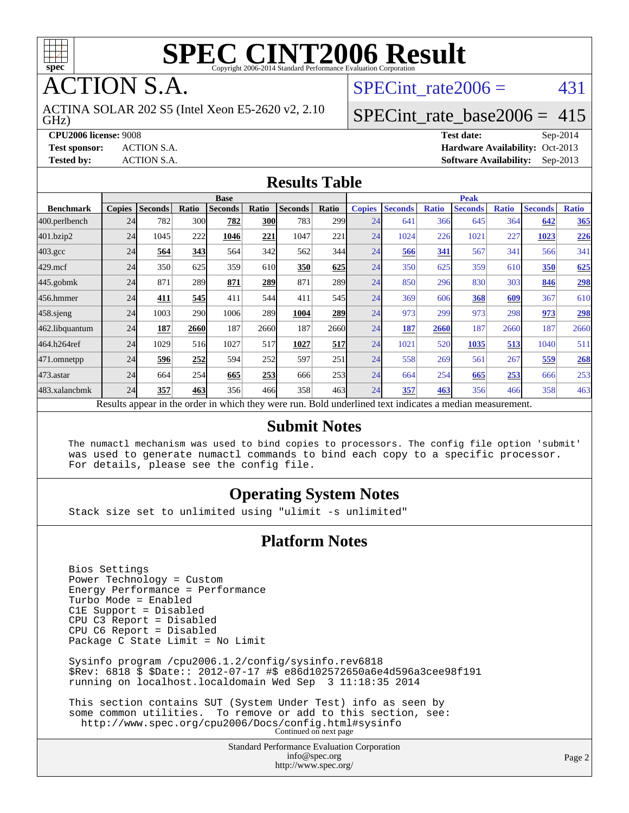

**TION S.A.** 

GHz) ACTINA SOLAR 202 S5 (Intel Xeon E5-2620 v2, 2.10 SPECint rate $2006 = 431$ 

#### [SPECint\\_rate\\_base2006 =](http://www.spec.org/auto/cpu2006/Docs/result-fields.html#SPECintratebase2006) 415

**[CPU2006 license:](http://www.spec.org/auto/cpu2006/Docs/result-fields.html#CPU2006license)** 9008 **[Test date:](http://www.spec.org/auto/cpu2006/Docs/result-fields.html#Testdate)** Sep-2014 **[Test sponsor:](http://www.spec.org/auto/cpu2006/Docs/result-fields.html#Testsponsor)** ACTION S.A. **[Hardware Availability:](http://www.spec.org/auto/cpu2006/Docs/result-fields.html#HardwareAvailability)** Oct-2013 **[Tested by:](http://www.spec.org/auto/cpu2006/Docs/result-fields.html#Testedby)** ACTION S.A. **[Software Availability:](http://www.spec.org/auto/cpu2006/Docs/result-fields.html#SoftwareAvailability)** Sep-2013

#### **[Results Table](http://www.spec.org/auto/cpu2006/Docs/result-fields.html#ResultsTable)**

|                                                                                                          | <b>Base</b>   |                |       |                |            |                |                  | <b>Peak</b>   |                |              |                |              |                |              |
|----------------------------------------------------------------------------------------------------------|---------------|----------------|-------|----------------|------------|----------------|------------------|---------------|----------------|--------------|----------------|--------------|----------------|--------------|
| <b>Benchmark</b>                                                                                         | <b>Copies</b> | <b>Seconds</b> | Ratio | <b>Seconds</b> | Ratio      | <b>Seconds</b> | Ratio            | <b>Copies</b> | <b>Seconds</b> | <b>Ratio</b> | <b>Seconds</b> | <b>Ratio</b> | <b>Seconds</b> | <b>Ratio</b> |
| 400.perlbench                                                                                            | 24            | 782            | 300   | 782            | <b>300</b> | 783            | 299 <sub>1</sub> | 24            | 641            | 366          | 645            | 364          | 642            | 365          |
| 401.bzip2                                                                                                | 24            | 1045           | 222   | 1046           | 221        | 1047           | 221              | 24            | 1024           | 226          | 1021           | 227          | 1023           | 226          |
| $403.\mathrm{gcc}$                                                                                       | 24            | 564            | 343   | 564            | 342        | 562            | 344              | 24            | 566            | 341          | 567            | 341          | 566            | 341          |
| $429$ .mcf                                                                                               | 24            | 350            | 625   | 359            | 610        | 350            | 625              | 24            | 350            | 625          | 359            | 610          | 350            | 625          |
| $445$ .gobmk                                                                                             | 24            | 871            | 289   | 871            | 289        | 871            | 289              | 24            | 850            | 296          | 830            | 303          | 846            | 298          |
| 456.hmmer                                                                                                | 24            | 411            | 545   | 411            | 544        | 411            | 545              | 24            | 369            | 606          | 368            | 609          | 367            | 610          |
| $458$ .sjeng                                                                                             | 24            | 1003           | 290   | 1006           | 289        | 1004           | 289              | 24            | 973            | 299          | 973            | 298          | 973            | 298          |
| 462.libquantum                                                                                           | 24            | 187            | 2660  | 187            | 2660       | 187            | 2660             | 24            | 187            | 2660         | 187            | 2660         | 187            | 2660         |
| 464.h264ref                                                                                              | 24            | 1029           | 516   | 1027           | 517        | 1027           | 517              | 24            | 1021           | 520          | 1035           | 513          | 1040           | 511          |
| 471.omnetpp                                                                                              | 24            | 596            | 252   | 594            | 252        | 597            | 251              | 24            | 558            | 269          | 561            | 267          | 559            | 268          |
| 473.astar                                                                                                | 24            | 664            | 254   | 665            | 253        | 666            | 253              | 24            | 664            | 254          | 665            | 253          | 666            | 253          |
| 483.xalancbmk                                                                                            | 24            | 357            | 463   | 356            | 466        | 358            | 463              | 24            | 357            | 463          | 356            | 466          | 358            | 463          |
| Results appear in the order in which they were run. Bold underlined text indicates a median measurement. |               |                |       |                |            |                |                  |               |                |              |                |              |                |              |

#### **[Submit Notes](http://www.spec.org/auto/cpu2006/Docs/result-fields.html#SubmitNotes)**

 The numactl mechanism was used to bind copies to processors. The config file option 'submit' was used to generate numactl commands to bind each copy to a specific processor. For details, please see the config file.

#### **[Operating System Notes](http://www.spec.org/auto/cpu2006/Docs/result-fields.html#OperatingSystemNotes)**

Stack size set to unlimited using "ulimit -s unlimited"

#### **[Platform Notes](http://www.spec.org/auto/cpu2006/Docs/result-fields.html#PlatformNotes)**

 Bios Settings Power Technology = Custom Energy Performance = Performance Turbo Mode = Enabled C1E Support = Disabled CPU C3 Report = Disabled CPU C6 Report = Disabled Package C State Limit = No Limit Sysinfo program /cpu2006.1.2/config/sysinfo.rev6818 \$Rev: 6818 \$ \$Date:: 2012-07-17 #\$ e86d102572650a6e4d596a3cee98f191 running on localhost.localdomain Wed Sep 3 11:18:35 2014 This section contains SUT (System Under Test) info as seen by some common utilities. To remove or add to this section, see: <http://www.spec.org/cpu2006/Docs/config.html#sysinfo> Continued on next page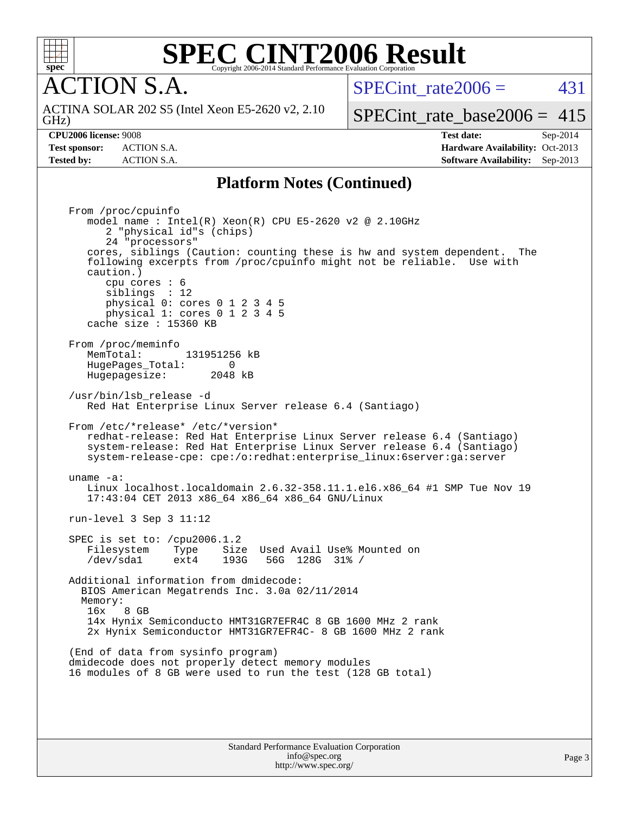

**CTION S.A.** 

SPECint rate $2006 = 431$ 

GHz) ACTINA SOLAR 202 S5 (Intel Xeon E5-2620 v2, 2.10

[SPECint\\_rate\\_base2006 =](http://www.spec.org/auto/cpu2006/Docs/result-fields.html#SPECintratebase2006) 415

**[CPU2006 license:](http://www.spec.org/auto/cpu2006/Docs/result-fields.html#CPU2006license)** 9008 **[Test date:](http://www.spec.org/auto/cpu2006/Docs/result-fields.html#Testdate)** Sep-2014 **[Test sponsor:](http://www.spec.org/auto/cpu2006/Docs/result-fields.html#Testsponsor)** ACTION S.A. **[Hardware Availability:](http://www.spec.org/auto/cpu2006/Docs/result-fields.html#HardwareAvailability)** Oct-2013 **[Tested by:](http://www.spec.org/auto/cpu2006/Docs/result-fields.html#Testedby)** ACTION S.A. **[Software Availability:](http://www.spec.org/auto/cpu2006/Docs/result-fields.html#SoftwareAvailability)** Sep-2013

#### **[Platform Notes \(Continued\)](http://www.spec.org/auto/cpu2006/Docs/result-fields.html#PlatformNotes)**

 From /proc/cpuinfo model name : Intel(R) Xeon(R) CPU E5-2620 v2 @ 2.10GHz 2 "physical id"s (chips) 24 "processors" cores, siblings (Caution: counting these is hw and system dependent. The following excerpts from /proc/cpuinfo might not be reliable. Use with caution.) cpu cores : 6 siblings : 12 physical 0: cores 0 1 2 3 4 5 physical 1: cores 0 1 2 3 4 5 cache size : 15360 KB From /proc/meminfo MemTotal: 131951256 kB<br>HugePages Total: 0 HugePages\_Total: 0 Hugepagesize: 2048 kB /usr/bin/lsb\_release -d Red Hat Enterprise Linux Server release 6.4 (Santiago) From /etc/\*release\* /etc/\*version\* redhat-release: Red Hat Enterprise Linux Server release 6.4 (Santiago) system-release: Red Hat Enterprise Linux Server release 6.4 (Santiago) system-release-cpe: cpe:/o:redhat:enterprise\_linux:6server:ga:server uname -a: Linux localhost.localdomain 2.6.32-358.11.1.el6.x86\_64 #1 SMP Tue Nov 19 17:43:04 CET 2013 x86\_64 x86\_64 x86\_64 GNU/Linux run-level 3 Sep 3 11:12 SPEC is set to: /cpu2006.1.2 Filesystem Type Size Used Avail Use% Mounted on /dev/sda1 ext4 193G 56G 128G 31% / Additional information from dmidecode: BIOS American Megatrends Inc. 3.0a 02/11/2014 Memory: 16x 8 GB 14x Hynix Semiconducto HMT31GR7EFR4C 8 GB 1600 MHz 2 rank 2x Hynix Semiconductor HMT31GR7EFR4C- 8 GB 1600 MHz 2 rank (End of data from sysinfo program) dmidecode does not properly detect memory modules 16 modules of 8 GB were used to run the test (128 GB total)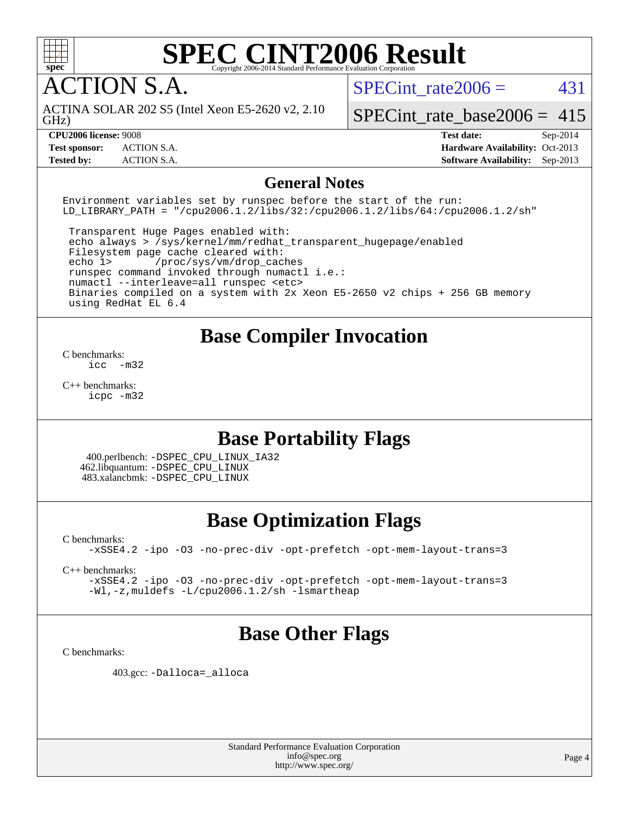

ACTION S.A.

SPECint rate $2006 = 431$ 

GHz) ACTINA SOLAR 202 S5 (Intel Xeon E5-2620 v2, 2.10

[SPECint\\_rate\\_base2006 =](http://www.spec.org/auto/cpu2006/Docs/result-fields.html#SPECintratebase2006)  $415$ 

**[CPU2006 license:](http://www.spec.org/auto/cpu2006/Docs/result-fields.html#CPU2006license)** 9008 **[Test date:](http://www.spec.org/auto/cpu2006/Docs/result-fields.html#Testdate)** Sep-2014 **[Test sponsor:](http://www.spec.org/auto/cpu2006/Docs/result-fields.html#Testsponsor)** ACTION S.A. **[Hardware Availability:](http://www.spec.org/auto/cpu2006/Docs/result-fields.html#HardwareAvailability)** Oct-2013 **[Tested by:](http://www.spec.org/auto/cpu2006/Docs/result-fields.html#Testedby)** ACTION S.A. **[Software Availability:](http://www.spec.org/auto/cpu2006/Docs/result-fields.html#SoftwareAvailability)** Sep-2013

#### **[General Notes](http://www.spec.org/auto/cpu2006/Docs/result-fields.html#GeneralNotes)**

Environment variables set by runspec before the start of the run: LD LIBRARY PATH = "/cpu2006.1.2/libs/32:/cpu2006.1.2/libs/64:/cpu2006.1.2/sh"

 Transparent Huge Pages enabled with: echo always > /sys/kernel/mm/redhat\_transparent\_hugepage/enabled Filesystem page cache cleared with: echo 1> /proc/sys/vm/drop\_caches runspec command invoked through numactl i.e.: numactl --interleave=all runspec <etc> Binaries compiled on a system with 2x Xeon E5-2650 v2 chips + 256 GB memory using RedHat EL 6.4

### **[Base Compiler Invocation](http://www.spec.org/auto/cpu2006/Docs/result-fields.html#BaseCompilerInvocation)**

[C benchmarks](http://www.spec.org/auto/cpu2006/Docs/result-fields.html#Cbenchmarks):  $inc -m32$ 

[C++ benchmarks:](http://www.spec.org/auto/cpu2006/Docs/result-fields.html#CXXbenchmarks) [icpc -m32](http://www.spec.org/cpu2006/results/res2014q3/cpu2006-20140907-31216.flags.html#user_CXXbase_intel_icpc_4e5a5ef1a53fd332b3c49e69c3330699)

### **[Base Portability Flags](http://www.spec.org/auto/cpu2006/Docs/result-fields.html#BasePortabilityFlags)**

 400.perlbench: [-DSPEC\\_CPU\\_LINUX\\_IA32](http://www.spec.org/cpu2006/results/res2014q3/cpu2006-20140907-31216.flags.html#b400.perlbench_baseCPORTABILITY_DSPEC_CPU_LINUX_IA32) 462.libquantum: [-DSPEC\\_CPU\\_LINUX](http://www.spec.org/cpu2006/results/res2014q3/cpu2006-20140907-31216.flags.html#b462.libquantum_baseCPORTABILITY_DSPEC_CPU_LINUX) 483.xalancbmk: [-DSPEC\\_CPU\\_LINUX](http://www.spec.org/cpu2006/results/res2014q3/cpu2006-20140907-31216.flags.html#b483.xalancbmk_baseCXXPORTABILITY_DSPEC_CPU_LINUX)

## **[Base Optimization Flags](http://www.spec.org/auto/cpu2006/Docs/result-fields.html#BaseOptimizationFlags)**

[C benchmarks](http://www.spec.org/auto/cpu2006/Docs/result-fields.html#Cbenchmarks):

[-xSSE4.2](http://www.spec.org/cpu2006/results/res2014q3/cpu2006-20140907-31216.flags.html#user_CCbase_f-xSSE42_f91528193cf0b216347adb8b939d4107) [-ipo](http://www.spec.org/cpu2006/results/res2014q3/cpu2006-20140907-31216.flags.html#user_CCbase_f-ipo) [-O3](http://www.spec.org/cpu2006/results/res2014q3/cpu2006-20140907-31216.flags.html#user_CCbase_f-O3) [-no-prec-div](http://www.spec.org/cpu2006/results/res2014q3/cpu2006-20140907-31216.flags.html#user_CCbase_f-no-prec-div) [-opt-prefetch](http://www.spec.org/cpu2006/results/res2014q3/cpu2006-20140907-31216.flags.html#user_CCbase_f-opt-prefetch) [-opt-mem-layout-trans=3](http://www.spec.org/cpu2006/results/res2014q3/cpu2006-20140907-31216.flags.html#user_CCbase_f-opt-mem-layout-trans_a7b82ad4bd7abf52556d4961a2ae94d5)

[C++ benchmarks:](http://www.spec.org/auto/cpu2006/Docs/result-fields.html#CXXbenchmarks)

[-xSSE4.2](http://www.spec.org/cpu2006/results/res2014q3/cpu2006-20140907-31216.flags.html#user_CXXbase_f-xSSE42_f91528193cf0b216347adb8b939d4107) [-ipo](http://www.spec.org/cpu2006/results/res2014q3/cpu2006-20140907-31216.flags.html#user_CXXbase_f-ipo) [-O3](http://www.spec.org/cpu2006/results/res2014q3/cpu2006-20140907-31216.flags.html#user_CXXbase_f-O3) [-no-prec-div](http://www.spec.org/cpu2006/results/res2014q3/cpu2006-20140907-31216.flags.html#user_CXXbase_f-no-prec-div) [-opt-prefetch](http://www.spec.org/cpu2006/results/res2014q3/cpu2006-20140907-31216.flags.html#user_CXXbase_f-opt-prefetch) [-opt-mem-layout-trans=3](http://www.spec.org/cpu2006/results/res2014q3/cpu2006-20140907-31216.flags.html#user_CXXbase_f-opt-mem-layout-trans_a7b82ad4bd7abf52556d4961a2ae94d5) [-Wl,-z,muldefs](http://www.spec.org/cpu2006/results/res2014q3/cpu2006-20140907-31216.flags.html#user_CXXbase_link_force_multiple1_74079c344b956b9658436fd1b6dd3a8a) [-L/cpu2006.1.2/sh -lsmartheap](http://www.spec.org/cpu2006/results/res2014q3/cpu2006-20140907-31216.flags.html#user_CXXbase_SmartHeap_bfa5b22c0e716eb2d3a2496ec83a2e29)

### **[Base Other Flags](http://www.spec.org/auto/cpu2006/Docs/result-fields.html#BaseOtherFlags)**

[C benchmarks](http://www.spec.org/auto/cpu2006/Docs/result-fields.html#Cbenchmarks):

403.gcc: [-Dalloca=\\_alloca](http://www.spec.org/cpu2006/results/res2014q3/cpu2006-20140907-31216.flags.html#b403.gcc_baseEXTRA_CFLAGS_Dalloca_be3056838c12de2578596ca5467af7f3)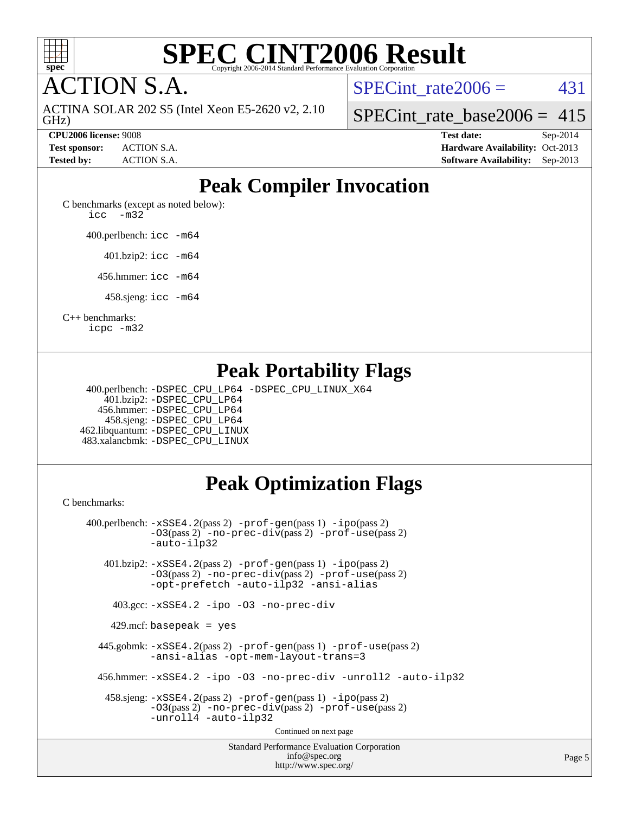

**CTION S.A.** 

GHz) ACTINA SOLAR 202 S5 (Intel Xeon E5-2620 v2, 2.10 SPECint rate $2006 = 431$ 

[SPECint\\_rate\\_base2006 =](http://www.spec.org/auto/cpu2006/Docs/result-fields.html#SPECintratebase2006)  $415$ 

**[CPU2006 license:](http://www.spec.org/auto/cpu2006/Docs/result-fields.html#CPU2006license)** 9008 **[Test date:](http://www.spec.org/auto/cpu2006/Docs/result-fields.html#Testdate)** Sep-2014 **[Test sponsor:](http://www.spec.org/auto/cpu2006/Docs/result-fields.html#Testsponsor)** ACTION S.A. **[Hardware Availability:](http://www.spec.org/auto/cpu2006/Docs/result-fields.html#HardwareAvailability)** Oct-2013 **[Tested by:](http://www.spec.org/auto/cpu2006/Docs/result-fields.html#Testedby)** ACTION S.A. **[Software Availability:](http://www.spec.org/auto/cpu2006/Docs/result-fields.html#SoftwareAvailability)** Sep-2013

## **[Peak Compiler Invocation](http://www.spec.org/auto/cpu2006/Docs/result-fields.html#PeakCompilerInvocation)**

[C benchmarks \(except as noted below\)](http://www.spec.org/auto/cpu2006/Docs/result-fields.html#Cbenchmarksexceptasnotedbelow): [icc -m32](http://www.spec.org/cpu2006/results/res2014q3/cpu2006-20140907-31216.flags.html#user_CCpeak_intel_icc_5ff4a39e364c98233615fdd38438c6f2)

400.perlbench: [icc -m64](http://www.spec.org/cpu2006/results/res2014q3/cpu2006-20140907-31216.flags.html#user_peakCCLD400_perlbench_intel_icc_64bit_bda6cc9af1fdbb0edc3795bac97ada53)

401.bzip2: [icc -m64](http://www.spec.org/cpu2006/results/res2014q3/cpu2006-20140907-31216.flags.html#user_peakCCLD401_bzip2_intel_icc_64bit_bda6cc9af1fdbb0edc3795bac97ada53)

456.hmmer: [icc -m64](http://www.spec.org/cpu2006/results/res2014q3/cpu2006-20140907-31216.flags.html#user_peakCCLD456_hmmer_intel_icc_64bit_bda6cc9af1fdbb0edc3795bac97ada53)

458.sjeng: [icc -m64](http://www.spec.org/cpu2006/results/res2014q3/cpu2006-20140907-31216.flags.html#user_peakCCLD458_sjeng_intel_icc_64bit_bda6cc9af1fdbb0edc3795bac97ada53)

[C++ benchmarks:](http://www.spec.org/auto/cpu2006/Docs/result-fields.html#CXXbenchmarks)

[icpc -m32](http://www.spec.org/cpu2006/results/res2014q3/cpu2006-20140907-31216.flags.html#user_CXXpeak_intel_icpc_4e5a5ef1a53fd332b3c49e69c3330699)

### **[Peak Portability Flags](http://www.spec.org/auto/cpu2006/Docs/result-fields.html#PeakPortabilityFlags)**

 400.perlbench: [-DSPEC\\_CPU\\_LP64](http://www.spec.org/cpu2006/results/res2014q3/cpu2006-20140907-31216.flags.html#b400.perlbench_peakCPORTABILITY_DSPEC_CPU_LP64) [-DSPEC\\_CPU\\_LINUX\\_X64](http://www.spec.org/cpu2006/results/res2014q3/cpu2006-20140907-31216.flags.html#b400.perlbench_peakCPORTABILITY_DSPEC_CPU_LINUX_X64) 401.bzip2: [-DSPEC\\_CPU\\_LP64](http://www.spec.org/cpu2006/results/res2014q3/cpu2006-20140907-31216.flags.html#suite_peakCPORTABILITY401_bzip2_DSPEC_CPU_LP64) 456.hmmer: [-DSPEC\\_CPU\\_LP64](http://www.spec.org/cpu2006/results/res2014q3/cpu2006-20140907-31216.flags.html#suite_peakCPORTABILITY456_hmmer_DSPEC_CPU_LP64) 458.sjeng: [-DSPEC\\_CPU\\_LP64](http://www.spec.org/cpu2006/results/res2014q3/cpu2006-20140907-31216.flags.html#suite_peakCPORTABILITY458_sjeng_DSPEC_CPU_LP64) 462.libquantum: [-DSPEC\\_CPU\\_LINUX](http://www.spec.org/cpu2006/results/res2014q3/cpu2006-20140907-31216.flags.html#b462.libquantum_peakCPORTABILITY_DSPEC_CPU_LINUX) 483.xalancbmk: [-DSPEC\\_CPU\\_LINUX](http://www.spec.org/cpu2006/results/res2014q3/cpu2006-20140907-31216.flags.html#b483.xalancbmk_peakCXXPORTABILITY_DSPEC_CPU_LINUX)

## **[Peak Optimization Flags](http://www.spec.org/auto/cpu2006/Docs/result-fields.html#PeakOptimizationFlags)**

[C benchmarks](http://www.spec.org/auto/cpu2006/Docs/result-fields.html#Cbenchmarks):

Standard Performance Evaluation Corporation [info@spec.org](mailto:info@spec.org) 400.perlbench: [-xSSE4.2](http://www.spec.org/cpu2006/results/res2014q3/cpu2006-20140907-31216.flags.html#user_peakPASS2_CFLAGSPASS2_LDCFLAGS400_perlbench_f-xSSE42_f91528193cf0b216347adb8b939d4107)(pass 2) [-prof-gen](http://www.spec.org/cpu2006/results/res2014q3/cpu2006-20140907-31216.flags.html#user_peakPASS1_CFLAGSPASS1_LDCFLAGS400_perlbench_prof_gen_e43856698f6ca7b7e442dfd80e94a8fc)(pass 1) [-ipo](http://www.spec.org/cpu2006/results/res2014q3/cpu2006-20140907-31216.flags.html#user_peakPASS2_CFLAGSPASS2_LDCFLAGS400_perlbench_f-ipo)(pass 2) [-O3](http://www.spec.org/cpu2006/results/res2014q3/cpu2006-20140907-31216.flags.html#user_peakPASS2_CFLAGSPASS2_LDCFLAGS400_perlbench_f-O3)(pass 2) [-no-prec-div](http://www.spec.org/cpu2006/results/res2014q3/cpu2006-20140907-31216.flags.html#user_peakPASS2_CFLAGSPASS2_LDCFLAGS400_perlbench_f-no-prec-div)(pass 2) [-prof-use](http://www.spec.org/cpu2006/results/res2014q3/cpu2006-20140907-31216.flags.html#user_peakPASS2_CFLAGSPASS2_LDCFLAGS400_perlbench_prof_use_bccf7792157ff70d64e32fe3e1250b55)(pass 2) [-auto-ilp32](http://www.spec.org/cpu2006/results/res2014q3/cpu2006-20140907-31216.flags.html#user_peakCOPTIMIZE400_perlbench_f-auto-ilp32) 401.bzip2: [-xSSE4.2](http://www.spec.org/cpu2006/results/res2014q3/cpu2006-20140907-31216.flags.html#user_peakPASS2_CFLAGSPASS2_LDCFLAGS401_bzip2_f-xSSE42_f91528193cf0b216347adb8b939d4107)(pass 2) [-prof-gen](http://www.spec.org/cpu2006/results/res2014q3/cpu2006-20140907-31216.flags.html#user_peakPASS1_CFLAGSPASS1_LDCFLAGS401_bzip2_prof_gen_e43856698f6ca7b7e442dfd80e94a8fc)(pass 1) [-ipo](http://www.spec.org/cpu2006/results/res2014q3/cpu2006-20140907-31216.flags.html#user_peakPASS2_CFLAGSPASS2_LDCFLAGS401_bzip2_f-ipo)(pass 2) [-O3](http://www.spec.org/cpu2006/results/res2014q3/cpu2006-20140907-31216.flags.html#user_peakPASS2_CFLAGSPASS2_LDCFLAGS401_bzip2_f-O3)(pass 2) [-no-prec-div](http://www.spec.org/cpu2006/results/res2014q3/cpu2006-20140907-31216.flags.html#user_peakPASS2_CFLAGSPASS2_LDCFLAGS401_bzip2_f-no-prec-div)(pass 2) [-prof-use](http://www.spec.org/cpu2006/results/res2014q3/cpu2006-20140907-31216.flags.html#user_peakPASS2_CFLAGSPASS2_LDCFLAGS401_bzip2_prof_use_bccf7792157ff70d64e32fe3e1250b55)(pass 2) [-opt-prefetch](http://www.spec.org/cpu2006/results/res2014q3/cpu2006-20140907-31216.flags.html#user_peakCOPTIMIZE401_bzip2_f-opt-prefetch) [-auto-ilp32](http://www.spec.org/cpu2006/results/res2014q3/cpu2006-20140907-31216.flags.html#user_peakCOPTIMIZE401_bzip2_f-auto-ilp32) [-ansi-alias](http://www.spec.org/cpu2006/results/res2014q3/cpu2006-20140907-31216.flags.html#user_peakCOPTIMIZE401_bzip2_f-ansi-alias) 403.gcc: [-xSSE4.2](http://www.spec.org/cpu2006/results/res2014q3/cpu2006-20140907-31216.flags.html#user_peakCOPTIMIZE403_gcc_f-xSSE42_f91528193cf0b216347adb8b939d4107) [-ipo](http://www.spec.org/cpu2006/results/res2014q3/cpu2006-20140907-31216.flags.html#user_peakCOPTIMIZE403_gcc_f-ipo) [-O3](http://www.spec.org/cpu2006/results/res2014q3/cpu2006-20140907-31216.flags.html#user_peakCOPTIMIZE403_gcc_f-O3) [-no-prec-div](http://www.spec.org/cpu2006/results/res2014q3/cpu2006-20140907-31216.flags.html#user_peakCOPTIMIZE403_gcc_f-no-prec-div) 429.mcf: basepeak = yes 445.gobmk: [-xSSE4.2](http://www.spec.org/cpu2006/results/res2014q3/cpu2006-20140907-31216.flags.html#user_peakPASS2_CFLAGSPASS2_LDCFLAGS445_gobmk_f-xSSE42_f91528193cf0b216347adb8b939d4107)(pass 2) [-prof-gen](http://www.spec.org/cpu2006/results/res2014q3/cpu2006-20140907-31216.flags.html#user_peakPASS1_CFLAGSPASS1_LDCFLAGS445_gobmk_prof_gen_e43856698f6ca7b7e442dfd80e94a8fc)(pass 1) [-prof-use](http://www.spec.org/cpu2006/results/res2014q3/cpu2006-20140907-31216.flags.html#user_peakPASS2_CFLAGSPASS2_LDCFLAGS445_gobmk_prof_use_bccf7792157ff70d64e32fe3e1250b55)(pass 2) [-ansi-alias](http://www.spec.org/cpu2006/results/res2014q3/cpu2006-20140907-31216.flags.html#user_peakCOPTIMIZE445_gobmk_f-ansi-alias) [-opt-mem-layout-trans=3](http://www.spec.org/cpu2006/results/res2014q3/cpu2006-20140907-31216.flags.html#user_peakCOPTIMIZE445_gobmk_f-opt-mem-layout-trans_a7b82ad4bd7abf52556d4961a2ae94d5) 456.hmmer: [-xSSE4.2](http://www.spec.org/cpu2006/results/res2014q3/cpu2006-20140907-31216.flags.html#user_peakCOPTIMIZE456_hmmer_f-xSSE42_f91528193cf0b216347adb8b939d4107) [-ipo](http://www.spec.org/cpu2006/results/res2014q3/cpu2006-20140907-31216.flags.html#user_peakCOPTIMIZE456_hmmer_f-ipo) [-O3](http://www.spec.org/cpu2006/results/res2014q3/cpu2006-20140907-31216.flags.html#user_peakCOPTIMIZE456_hmmer_f-O3) [-no-prec-div](http://www.spec.org/cpu2006/results/res2014q3/cpu2006-20140907-31216.flags.html#user_peakCOPTIMIZE456_hmmer_f-no-prec-div) [-unroll2](http://www.spec.org/cpu2006/results/res2014q3/cpu2006-20140907-31216.flags.html#user_peakCOPTIMIZE456_hmmer_f-unroll_784dae83bebfb236979b41d2422d7ec2) [-auto-ilp32](http://www.spec.org/cpu2006/results/res2014q3/cpu2006-20140907-31216.flags.html#user_peakCOPTIMIZE456_hmmer_f-auto-ilp32) 458.sjeng: [-xSSE4.2](http://www.spec.org/cpu2006/results/res2014q3/cpu2006-20140907-31216.flags.html#user_peakPASS2_CFLAGSPASS2_LDCFLAGS458_sjeng_f-xSSE42_f91528193cf0b216347adb8b939d4107)(pass 2) [-prof-gen](http://www.spec.org/cpu2006/results/res2014q3/cpu2006-20140907-31216.flags.html#user_peakPASS1_CFLAGSPASS1_LDCFLAGS458_sjeng_prof_gen_e43856698f6ca7b7e442dfd80e94a8fc)(pass 1) [-ipo](http://www.spec.org/cpu2006/results/res2014q3/cpu2006-20140907-31216.flags.html#user_peakPASS2_CFLAGSPASS2_LDCFLAGS458_sjeng_f-ipo)(pass 2) [-O3](http://www.spec.org/cpu2006/results/res2014q3/cpu2006-20140907-31216.flags.html#user_peakPASS2_CFLAGSPASS2_LDCFLAGS458_sjeng_f-O3)(pass 2) [-no-prec-div](http://www.spec.org/cpu2006/results/res2014q3/cpu2006-20140907-31216.flags.html#user_peakPASS2_CFLAGSPASS2_LDCFLAGS458_sjeng_f-no-prec-div)(pass 2) [-prof-use](http://www.spec.org/cpu2006/results/res2014q3/cpu2006-20140907-31216.flags.html#user_peakPASS2_CFLAGSPASS2_LDCFLAGS458_sjeng_prof_use_bccf7792157ff70d64e32fe3e1250b55)(pass 2) [-unroll4](http://www.spec.org/cpu2006/results/res2014q3/cpu2006-20140907-31216.flags.html#user_peakCOPTIMIZE458_sjeng_f-unroll_4e5e4ed65b7fd20bdcd365bec371b81f) [-auto-ilp32](http://www.spec.org/cpu2006/results/res2014q3/cpu2006-20140907-31216.flags.html#user_peakCOPTIMIZE458_sjeng_f-auto-ilp32) Continued on next page

<http://www.spec.org/>

Page 5